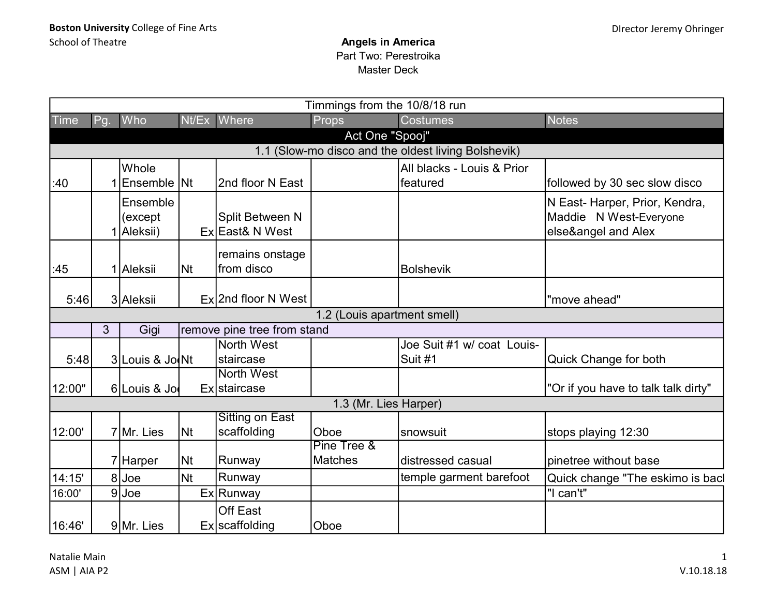|                                                     | Timmings from the 10/8/18 run |                 |           |                                       |                             |                            |                                     |  |  |  |  |
|-----------------------------------------------------|-------------------------------|-----------------|-----------|---------------------------------------|-----------------------------|----------------------------|-------------------------------------|--|--|--|--|
| <b>Time</b>                                         | Pg.                           | Who             | Nt/Ex     | Where                                 | Props                       | <b>Costumes</b>            | <b>Notes</b>                        |  |  |  |  |
|                                                     | Act One "Spooj"               |                 |           |                                       |                             |                            |                                     |  |  |  |  |
| 1.1 (Slow-mo disco and the oldest living Bolshevik) |                               |                 |           |                                       |                             |                            |                                     |  |  |  |  |
|                                                     |                               | Whole           |           |                                       |                             | All blacks - Louis & Prior |                                     |  |  |  |  |
| :40                                                 |                               | Ensemble Nt     |           | 2nd floor N East                      |                             | featured                   | followed by 30 sec slow disco       |  |  |  |  |
|                                                     |                               | Ensemble        |           |                                       |                             |                            | N East-Harper, Prior, Kendra,       |  |  |  |  |
|                                                     |                               | (except         |           | Split Between N                       |                             |                            | Maddie N West-Everyone              |  |  |  |  |
|                                                     |                               | 1 Aleksii)      |           | Ex East& N West                       |                             |                            | else&angel and Alex                 |  |  |  |  |
|                                                     |                               |                 |           | remains onstage                       |                             |                            |                                     |  |  |  |  |
| :45                                                 |                               | 1 Aleksii       | <b>Nt</b> | from disco                            |                             | <b>Bolshevik</b>           |                                     |  |  |  |  |
|                                                     |                               |                 |           |                                       |                             |                            |                                     |  |  |  |  |
| 5:46                                                |                               | 3 Aleksii       |           | $Ex$ 2nd floor N West                 |                             |                            | "move ahead"                        |  |  |  |  |
|                                                     |                               |                 |           |                                       | 1.2 (Louis apartment smell) |                            |                                     |  |  |  |  |
|                                                     | $\mathfrak{S}$                | Gigi            |           | remove pine tree from stand           |                             |                            |                                     |  |  |  |  |
|                                                     |                               |                 |           | North West                            |                             | Joe Suit #1 w/ coat Louis- |                                     |  |  |  |  |
| 5:48                                                |                               | 3 Louis & Jo Nt |           | staircase                             |                             | Suit #1                    | Quick Change for both               |  |  |  |  |
|                                                     |                               |                 |           | North West                            |                             |                            |                                     |  |  |  |  |
| 12:00"                                              |                               | 6 Louis & Jo    |           | Ex staircase                          |                             |                            | "Or if you have to talk talk dirty" |  |  |  |  |
|                                                     |                               |                 |           |                                       | 1.3 (Mr. Lies Harper)       |                            |                                     |  |  |  |  |
| 12:00'                                              |                               | 7 Mr. Lies      | <b>Nt</b> | <b>Sitting on East</b><br>scaffolding | Oboe                        | snowsuit                   | stops playing 12:30                 |  |  |  |  |
|                                                     |                               |                 |           |                                       | Pine Tree &                 |                            |                                     |  |  |  |  |
|                                                     |                               | 7 Harper        | <b>Nt</b> | Runway                                | <b>Matches</b>              | distressed casual          | pinetree without base               |  |  |  |  |
| 14:15'                                              |                               | 8Joe            | Nt        | Runway                                |                             | temple garment barefoot    | Quick change "The eskimo is bacl    |  |  |  |  |
| 16:00'                                              |                               | $9$ Joe         |           | Ex Runway                             |                             |                            | "I can't"                           |  |  |  |  |
| 16:46'                                              |                               | 9 Mr. Lies      |           | <b>Off East</b><br>Ex scaffolding     | Oboe                        |                            |                                     |  |  |  |  |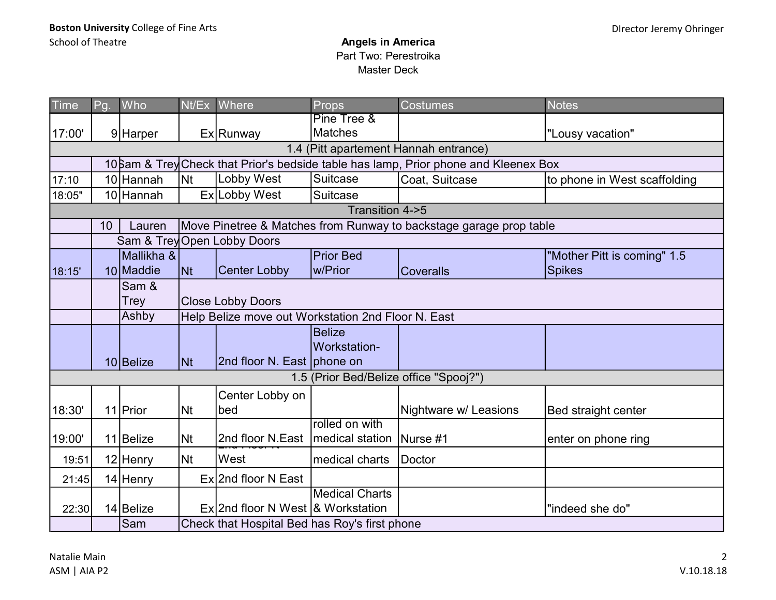| <b>Time</b> | Pg.                                                                                 | Who        |           | Nt/Ex Where                                        | <b>Props</b>          | <b>Costumes</b>                                                    | <b>Notes</b>                 |  |  |  |  |
|-------------|-------------------------------------------------------------------------------------|------------|-----------|----------------------------------------------------|-----------------------|--------------------------------------------------------------------|------------------------------|--|--|--|--|
|             |                                                                                     |            |           |                                                    | Pine Tree &           |                                                                    |                              |  |  |  |  |
| 17:00'      |                                                                                     | 9 Harper   |           | Ex Runway                                          | <b>Matches</b>        |                                                                    | "Lousy vacation"             |  |  |  |  |
|             |                                                                                     |            |           |                                                    |                       | 1.4 (Pitt apartement Hannah entrance)                              |                              |  |  |  |  |
|             | 10 am & Trey Check that Prior's bedside table has lamp, Prior phone and Kleenex Box |            |           |                                                    |                       |                                                                    |                              |  |  |  |  |
| 17:10       |                                                                                     | 10 Hannah  | <b>Nt</b> | Lobby West                                         | Suitcase              | Coat, Suitcase                                                     | to phone in West scaffolding |  |  |  |  |
| 18:05"      |                                                                                     | 10 Hannah  |           | Ex Lobby West                                      | Suitcase              |                                                                    |                              |  |  |  |  |
|             | Transition 4->5                                                                     |            |           |                                                    |                       |                                                                    |                              |  |  |  |  |
|             | 10                                                                                  | Lauren     |           |                                                    |                       | Move Pinetree & Matches from Runway to backstage garage prop table |                              |  |  |  |  |
|             |                                                                                     |            |           | Sam & Trey Open Lobby Doors                        |                       |                                                                    |                              |  |  |  |  |
|             |                                                                                     | Mallikha & |           |                                                    | <b>Prior Bed</b>      |                                                                    | "Mother Pitt is coming" 1.5  |  |  |  |  |
| 18:15'      |                                                                                     | 10 Maddie  | <b>Nt</b> | <b>Center Lobby</b>                                | w/Prior               | <b>Coveralls</b>                                                   | <b>Spikes</b>                |  |  |  |  |
|             |                                                                                     | Sam &      |           |                                                    |                       |                                                                    |                              |  |  |  |  |
|             |                                                                                     | Trey       |           | <b>Close Lobby Doors</b>                           |                       |                                                                    |                              |  |  |  |  |
|             |                                                                                     | Ashby      |           | Help Belize move out Workstation 2nd Floor N. East |                       |                                                                    |                              |  |  |  |  |
|             |                                                                                     |            |           |                                                    | <b>Belize</b>         |                                                                    |                              |  |  |  |  |
|             |                                                                                     |            |           |                                                    | Workstation-          |                                                                    |                              |  |  |  |  |
|             |                                                                                     | 10 Belize  | <b>Nt</b> | 2nd floor N. East phone on                         |                       |                                                                    |                              |  |  |  |  |
|             |                                                                                     |            |           |                                                    |                       | 1.5 (Prior Bed/Belize office "Spooj?")                             |                              |  |  |  |  |
|             |                                                                                     |            |           | Center Lobby on                                    |                       |                                                                    |                              |  |  |  |  |
| 18:30'      |                                                                                     | 11 Prior   | <b>Nt</b> | bed                                                |                       | Nightware w/ Leasions                                              | Bed straight center          |  |  |  |  |
|             |                                                                                     |            |           |                                                    | rolled on with        |                                                                    |                              |  |  |  |  |
| 19:00'      |                                                                                     | 11 Belize  | <b>Nt</b> | 2nd floor N.East   medical station                 |                       | Nurse #1                                                           | enter on phone ring          |  |  |  |  |
| 19:51       |                                                                                     | 12 Henry   | <b>Nt</b> | West                                               | medical charts        | Doctor                                                             |                              |  |  |  |  |
| 21:45       |                                                                                     | 14 Henry   |           | Ex 2nd floor N East                                |                       |                                                                    |                              |  |  |  |  |
|             |                                                                                     |            |           |                                                    | <b>Medical Charts</b> |                                                                    |                              |  |  |  |  |
| 22:30       |                                                                                     | 14 Belize  |           | $Ex$ 2nd floor N West & Workstation                |                       |                                                                    | "indeed she do"              |  |  |  |  |
|             |                                                                                     | Sam        |           | Check that Hospital Bed has Roy's first phone      |                       |                                                                    |                              |  |  |  |  |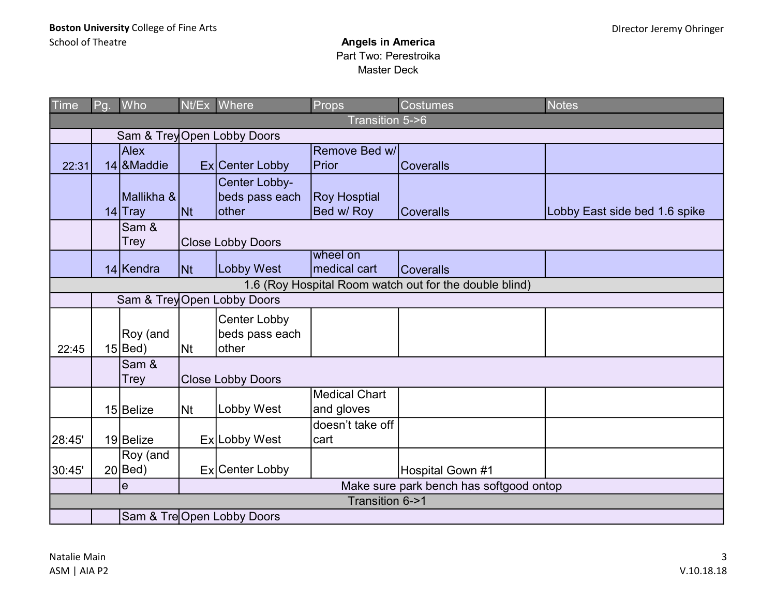| Time   | Pg.                                                                                   | Who          |                | Nt/Ex Where                 | Props                    | <b>Costumes</b>                         | <b>Notes</b>                  |  |  |  |  |
|--------|---------------------------------------------------------------------------------------|--------------|----------------|-----------------------------|--------------------------|-----------------------------------------|-------------------------------|--|--|--|--|
|        |                                                                                       |              |                |                             | Transition 5->6          |                                         |                               |  |  |  |  |
|        |                                                                                       |              |                | Sam & Trey Open Lobby Doors |                          |                                         |                               |  |  |  |  |
|        |                                                                                       | <b>Alex</b>  |                |                             | Remove Bed w/l           |                                         |                               |  |  |  |  |
| 22:31  |                                                                                       | 14 & Maddie  |                | Ex Center Lobby             | Prior                    | <b>Coveralls</b>                        |                               |  |  |  |  |
|        |                                                                                       |              |                | Center Lobby-               |                          |                                         |                               |  |  |  |  |
|        |                                                                                       | Mallikha &   |                | beds pass each              | <b>Roy Hosptial</b>      |                                         |                               |  |  |  |  |
|        |                                                                                       | $14$ Tray    | <b>Nt</b>      | <b>other</b>                | Bed w/ Roy               | <b>Coveralls</b>                        | Lobby East side bed 1.6 spike |  |  |  |  |
|        |                                                                                       | Sam &        |                |                             |                          |                                         |                               |  |  |  |  |
|        |                                                                                       | Trey         |                | <b>Close Lobby Doors</b>    |                          |                                         |                               |  |  |  |  |
|        |                                                                                       | 14 Kendra    | <b>INt</b>     | <b>Lobby West</b>           | wheel on<br>medical cart | <b>Coveralls</b>                        |                               |  |  |  |  |
|        |                                                                                       |              |                |                             |                          |                                         |                               |  |  |  |  |
|        | 1.6 (Roy Hospital Room watch out for the double blind)<br>Sam & Trey Open Lobby Doors |              |                |                             |                          |                                         |                               |  |  |  |  |
|        |                                                                                       |              |                |                             |                          |                                         |                               |  |  |  |  |
|        |                                                                                       |              |                | <b>Center Lobby</b>         |                          |                                         |                               |  |  |  |  |
|        |                                                                                       | Roy (and     |                | beds pass each              |                          |                                         |                               |  |  |  |  |
| 22:45  |                                                                                       | $15 $ Bed)   | N <sub>t</sub> | other                       |                          |                                         |                               |  |  |  |  |
|        |                                                                                       | Sam &        |                |                             |                          |                                         |                               |  |  |  |  |
|        |                                                                                       | Trey         |                | <b>Close Lobby Doors</b>    |                          |                                         |                               |  |  |  |  |
|        |                                                                                       |              |                |                             | <b>Medical Chart</b>     |                                         |                               |  |  |  |  |
|        |                                                                                       | 15 Belize    | N <sub>t</sub> | Lobby West                  | and gloves               |                                         |                               |  |  |  |  |
|        |                                                                                       |              |                |                             | doesn't take off         |                                         |                               |  |  |  |  |
| 28:45' |                                                                                       | 19 Belize    |                | Ex Lobby West               | cart                     |                                         |                               |  |  |  |  |
|        |                                                                                       | Roy (and     |                |                             |                          |                                         |                               |  |  |  |  |
| 30:45' |                                                                                       | $20$ $Be$ d) |                | Ex Center Lobby             |                          | Hospital Gown #1                        |                               |  |  |  |  |
|        |                                                                                       | $\mathbf e$  |                |                             |                          | Make sure park bench has softgood ontop |                               |  |  |  |  |
|        | Transition 6->1                                                                       |              |                |                             |                          |                                         |                               |  |  |  |  |
|        |                                                                                       |              |                | Sam & Tre Open Lobby Doors  |                          |                                         |                               |  |  |  |  |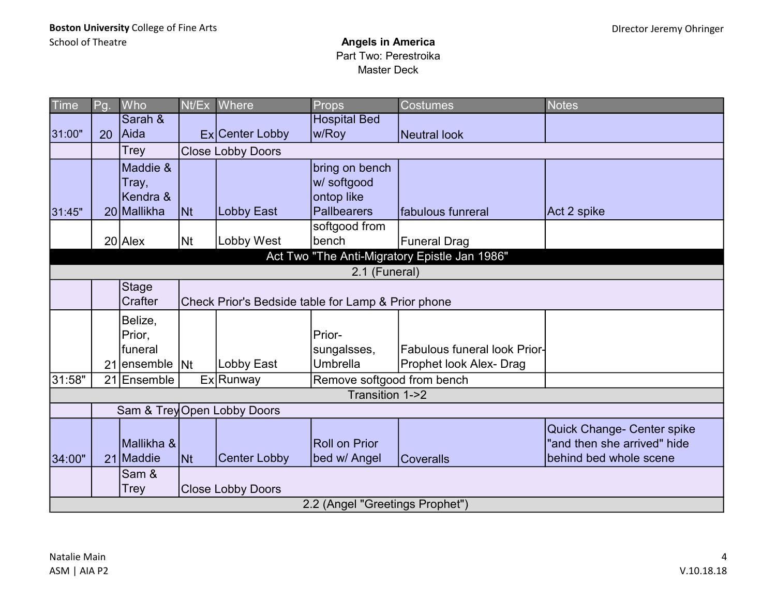| <b>Time</b> | Pg.                                           | Who                                          | Nt/Ex          | Where                                              | Props                                                      | <b>Costumes</b>                                                | <b>Notes</b>                                                                        |  |  |  |  |  |
|-------------|-----------------------------------------------|----------------------------------------------|----------------|----------------------------------------------------|------------------------------------------------------------|----------------------------------------------------------------|-------------------------------------------------------------------------------------|--|--|--|--|--|
| 31:00"      | 20                                            | Sarah &<br>Aida                              |                | Ex Center Lobby                                    | <b>Hospital Bed</b><br>w/Roy                               | <b>Neutral look</b>                                            |                                                                                     |  |  |  |  |  |
|             |                                               | Trey                                         |                | <b>Close Lobby Doors</b>                           |                                                            |                                                                |                                                                                     |  |  |  |  |  |
| 31:45"      |                                               | Maddie &<br>Tray,<br>Kendra &<br>20 Mallikha | <b>INt</b>     | Lobby East                                         | bring on bench<br>w/ softgood<br>ontop like<br>Pallbearers | fabulous funreral                                              | Act 2 spike                                                                         |  |  |  |  |  |
|             |                                               |                                              |                |                                                    | softgood from                                              |                                                                |                                                                                     |  |  |  |  |  |
|             |                                               | $20$ Alex                                    | N <sub>t</sub> | Lobby West                                         | bench                                                      | <b>Funeral Drag</b>                                            |                                                                                     |  |  |  |  |  |
|             | Act Two "The Anti-Migratory Epistle Jan 1986" |                                              |                |                                                    |                                                            |                                                                |                                                                                     |  |  |  |  |  |
|             | 2.1 (Funeral)                                 |                                              |                |                                                    |                                                            |                                                                |                                                                                     |  |  |  |  |  |
|             |                                               | <b>Stage</b><br>Crafter                      |                | Check Prior's Bedside table for Lamp & Prior phone |                                                            |                                                                |                                                                                     |  |  |  |  |  |
|             | 21                                            | Belize,<br>Prior,<br>funeral<br>ensemble Nt  |                | Lobby East                                         | Prior-<br>sungalsses,<br><b>Umbrella</b>                   | <b>Fabulous funeral look Prior-</b><br>Prophet look Alex- Drag |                                                                                     |  |  |  |  |  |
| 31:58"      |                                               | 21 Ensemble                                  |                | Ex Runway                                          | Remove softgood from bench                                 |                                                                |                                                                                     |  |  |  |  |  |
|             |                                               |                                              |                |                                                    | Transition 1->2                                            |                                                                |                                                                                     |  |  |  |  |  |
|             |                                               |                                              |                | Sam & Trey Open Lobby Doors                        |                                                            |                                                                |                                                                                     |  |  |  |  |  |
| 34:00"      |                                               | İMallikha &<br>21 Maddie                     | lNt.           | <b>Center Lobby</b>                                | <b>Roll on Prior</b><br>bed w/ Angel                       | <b>Coveralls</b>                                               | Quick Change- Center spike<br>'and then she arrived" hide<br>behind bed whole scene |  |  |  |  |  |
|             |                                               | Sam &<br>Trey                                |                | <b>Close Lobby Doors</b>                           |                                                            |                                                                |                                                                                     |  |  |  |  |  |
|             |                                               |                                              |                |                                                    | 2.2 (Angel "Greetings Prophet")                            |                                                                |                                                                                     |  |  |  |  |  |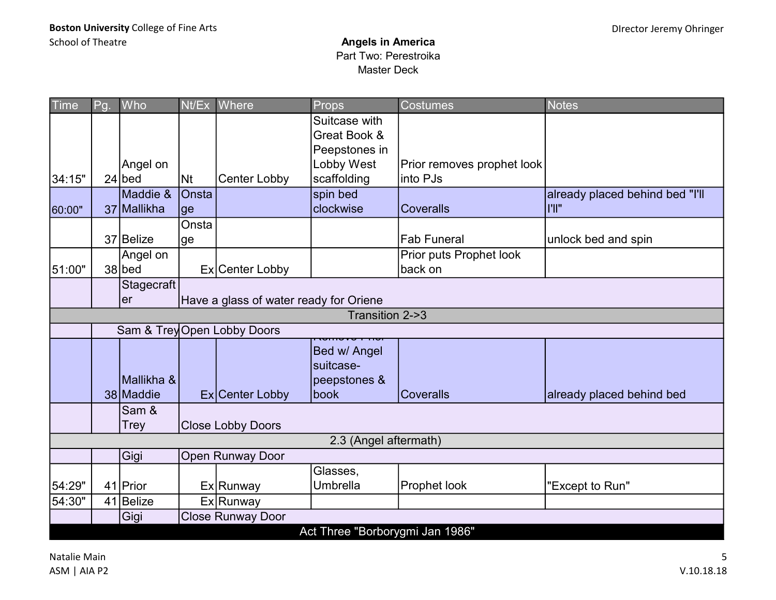| <b>Time</b> | Pg.                                          | Who          | Nt/Ex     | Where                       | Props                           | <b>Costumes</b>            | <b>Notes</b>                    |  |  |  |  |
|-------------|----------------------------------------------|--------------|-----------|-----------------------------|---------------------------------|----------------------------|---------------------------------|--|--|--|--|
|             |                                              |              |           |                             | Suitcase with                   |                            |                                 |  |  |  |  |
|             |                                              |              |           |                             | Great Book &                    |                            |                                 |  |  |  |  |
|             |                                              |              |           |                             | Peepstones in                   |                            |                                 |  |  |  |  |
|             |                                              | Angel on     |           |                             | Lobby West                      | Prior removes prophet look |                                 |  |  |  |  |
| 34:15"      |                                              | $24$ bed     | <b>Nt</b> | Center Lobby                | scaffolding                     | into PJs                   |                                 |  |  |  |  |
|             |                                              | Maddie &     | Onsta     |                             | spin bed                        |                            | already placed behind bed "I'll |  |  |  |  |
| 60:00"      |                                              | 37 Mallikha  | ge        |                             | clockwise                       | <b>Coveralls</b>           | I'll"                           |  |  |  |  |
|             |                                              |              | Onsta     |                             |                                 |                            |                                 |  |  |  |  |
|             |                                              | 37 Belize    | lge       |                             |                                 | <b>Fab Funeral</b>         | unlock bed and spin             |  |  |  |  |
|             |                                              | Angel on     |           |                             |                                 | Prior puts Prophet look    |                                 |  |  |  |  |
| 51:00"      |                                              | $38$ bed     |           | Ex Center Lobby             |                                 | back on                    |                                 |  |  |  |  |
|             |                                              | Stagecraft   |           |                             |                                 |                            |                                 |  |  |  |  |
|             | Have a glass of water ready for Oriene<br>er |              |           |                             |                                 |                            |                                 |  |  |  |  |
|             | Transition 2->3                              |              |           |                             |                                 |                            |                                 |  |  |  |  |
|             |                                              |              |           | Sam & Trey Open Lobby Doors |                                 |                            |                                 |  |  |  |  |
|             |                                              |              |           |                             | Bed w/ Angel                    |                            |                                 |  |  |  |  |
|             |                                              |              |           |                             | suitcase-                       |                            |                                 |  |  |  |  |
|             |                                              | Mallikha &   |           |                             | peepstones &                    |                            |                                 |  |  |  |  |
|             |                                              | 38 Maddie    |           |                             | <b>lbook</b>                    | <b>Coveralls</b>           |                                 |  |  |  |  |
|             |                                              |              |           | Ex Center Lobby             |                                 |                            | already placed behind bed       |  |  |  |  |
|             |                                              | Sam &        |           |                             |                                 |                            |                                 |  |  |  |  |
|             |                                              | Trey         |           | <b>Close Lobby Doors</b>    |                                 |                            |                                 |  |  |  |  |
|             |                                              |              |           |                             | 2.3 (Angel aftermath)           |                            |                                 |  |  |  |  |
|             |                                              | Gigi         |           | <b>Open Runway Door</b>     |                                 |                            |                                 |  |  |  |  |
|             |                                              |              |           |                             | Glasses,                        |                            |                                 |  |  |  |  |
| 54:29"      |                                              | 41 Prior     |           | Ex Runway                   | Umbrella                        | Prophet look               | "Except to Run"                 |  |  |  |  |
| 54:30"      |                                              | $41$  Belize |           | Ex Runway                   |                                 |                            |                                 |  |  |  |  |
|             |                                              | Gigi         |           | Close Runway Door           |                                 |                            |                                 |  |  |  |  |
|             |                                              |              |           |                             | Act Three "Borborygmi Jan 1986" |                            |                                 |  |  |  |  |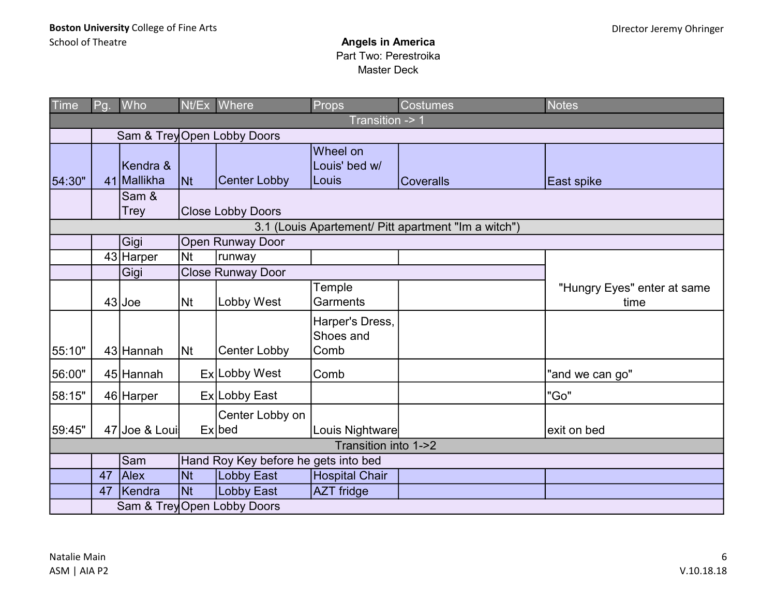| Time   | Pg.                                                 | Who                         |                | Nt/Ex Where                          | Props                                | <b>Costumes</b>  | <b>Notes</b>                        |  |  |  |  |  |
|--------|-----------------------------------------------------|-----------------------------|----------------|--------------------------------------|--------------------------------------|------------------|-------------------------------------|--|--|--|--|--|
|        |                                                     |                             |                |                                      | Transition -> 1                      |                  |                                     |  |  |  |  |  |
|        |                                                     | Sam & Trey Open Lobby Doors |                |                                      |                                      |                  |                                     |  |  |  |  |  |
| 54:30" |                                                     | Kendra &<br>41 Mallikha     | <b>Nt</b>      | <b>Center Lobby</b>                  | Wheel on<br>Louis' bed w/<br> Louis  | <b>Coveralls</b> | East spike                          |  |  |  |  |  |
|        |                                                     | Sam &<br>Trey               |                | <b>Close Lobby Doors</b>             |                                      |                  |                                     |  |  |  |  |  |
|        | 3.1 (Louis Apartement/ Pitt apartment "Im a witch") |                             |                |                                      |                                      |                  |                                     |  |  |  |  |  |
|        |                                                     | Gigi                        |                | <b>Open Runway Door</b>              |                                      |                  |                                     |  |  |  |  |  |
|        |                                                     | 43 Harper                   | <b>Nt</b>      | runway                               |                                      |                  |                                     |  |  |  |  |  |
|        |                                                     | Gigi                        |                | <b>Close Runway Door</b>             |                                      |                  |                                     |  |  |  |  |  |
|        |                                                     | $43$ Joe                    | N <sub>t</sub> | Lobby West                           | Temple<br>Garments                   |                  | "Hungry Eyes" enter at same<br>time |  |  |  |  |  |
| 55:10" |                                                     | 43 Hannah                   | N <sub>t</sub> | Center Lobby                         | Harper's Dress,<br>Shoes and<br>Comb |                  |                                     |  |  |  |  |  |
| 56:00" |                                                     | 45 Hannah                   |                | Ex Lobby West                        | Comb                                 |                  | "and we can go"                     |  |  |  |  |  |
| 58:15" |                                                     | 46 Harper                   |                | Ex Lobby East                        |                                      |                  | "Go"                                |  |  |  |  |  |
| 59:45" |                                                     | 47 Joe & Loui               |                | Center Lobby on<br>$Ex$ bed          | Louis Nightware                      |                  | exit on bed                         |  |  |  |  |  |
|        |                                                     |                             |                |                                      | Transition into 1->2                 |                  |                                     |  |  |  |  |  |
|        |                                                     | Sam                         |                | Hand Roy Key before he gets into bed |                                      |                  |                                     |  |  |  |  |  |
|        | 47                                                  | Alex                        | <b>Nt</b>      | <b>Lobby East</b>                    | Hospital Chair                       |                  |                                     |  |  |  |  |  |
|        | 47                                                  | Kendra                      | <b>Nt</b>      | <b>Lobby East</b>                    | <b>AZT</b> fridge                    |                  |                                     |  |  |  |  |  |
|        |                                                     |                             |                | Sam & Trey Open Lobby Doors          |                                      |                  |                                     |  |  |  |  |  |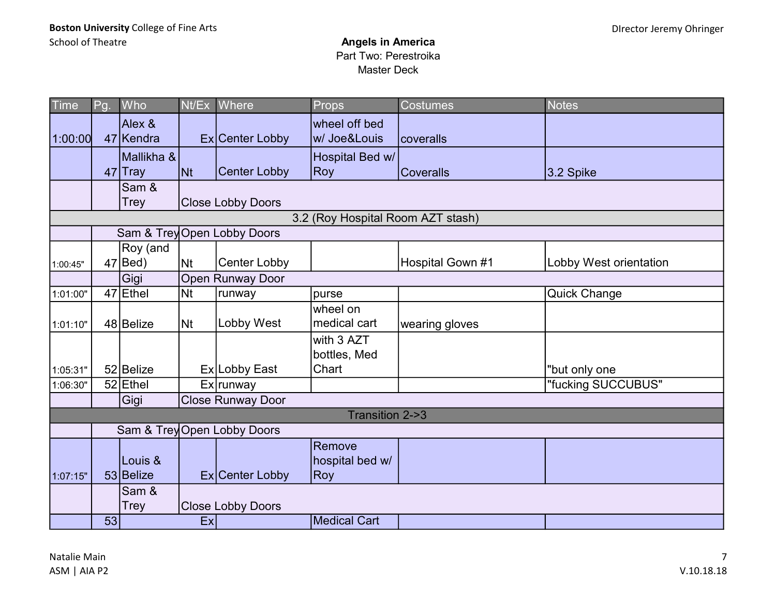| <b>Time</b>                       | Pg. | Who                     | Nt/Ex     | Where                       | Props                            | <b>Costumes</b>  | Notes                  |  |  |  |
|-----------------------------------|-----|-------------------------|-----------|-----------------------------|----------------------------------|------------------|------------------------|--|--|--|
| 1:00:00                           |     | Alex &<br>47 Kendra     |           | Ex Center Lobby             | wheel off bed<br>w/ Joe&Louis    | Icoveralls       |                        |  |  |  |
|                                   |     | Mallikha &<br>$47$ Tray | <b>Nt</b> | <b>Center Lobby</b>         | Hospital Bed w/<br><b>Roy</b>    | <b>Coveralls</b> | 3.2 Spike              |  |  |  |
|                                   |     | Sam &<br>Trey           |           | <b>Close Lobby Doors</b>    |                                  |                  |                        |  |  |  |
| 3.2 (Roy Hospital Room AZT stash) |     |                         |           |                             |                                  |                  |                        |  |  |  |
|                                   |     |                         |           | Sam & Trey Open Lobby Doors |                                  |                  |                        |  |  |  |
| 1:00:45"                          |     | Roy (and<br>$47 $ Bed)  | <b>Nt</b> | <b>Center Lobby</b>         |                                  | Hospital Gown #1 | Lobby West orientation |  |  |  |
|                                   |     | Gigi                    |           | <b>Open Runway Door</b>     |                                  |                  |                        |  |  |  |
| 1:01:00"                          |     | 47 Ethel                | <b>Nt</b> | runway                      | purse                            |                  | <b>Quick Change</b>    |  |  |  |
| 1:01:10"                          |     | 48 Belize               | <b>Nt</b> | Lobby West                  | wheel on<br>medical cart         | wearing gloves   |                        |  |  |  |
|                                   |     |                         |           |                             | with 3 AZT<br>bottles, Med       |                  |                        |  |  |  |
| 1:05:31"                          |     | 52 Belize               |           | Ex Lobby East               | Chart                            |                  | "but only one          |  |  |  |
| 1:06:30"                          |     | $52$ Ethel              |           | Ex runway                   |                                  |                  | "fucking SUCCUBUS"     |  |  |  |
|                                   |     | Gigi                    |           | <b>Close Runway Door</b>    |                                  |                  |                        |  |  |  |
|                                   |     |                         |           |                             | Transition 2->3                  |                  |                        |  |  |  |
|                                   |     |                         |           | Sam & Trey Open Lobby Doors |                                  |                  |                        |  |  |  |
| 1:07:15"                          |     | Louis &<br>53 Belize    |           | Ex Center Lobby             | Remove<br>hospital bed w/<br>Roy |                  |                        |  |  |  |
|                                   |     | Sam &<br>Trey           |           | <b>Close Lobby Doors</b>    |                                  |                  |                        |  |  |  |
|                                   | 53  |                         | Ex        |                             | Medical Cart                     |                  |                        |  |  |  |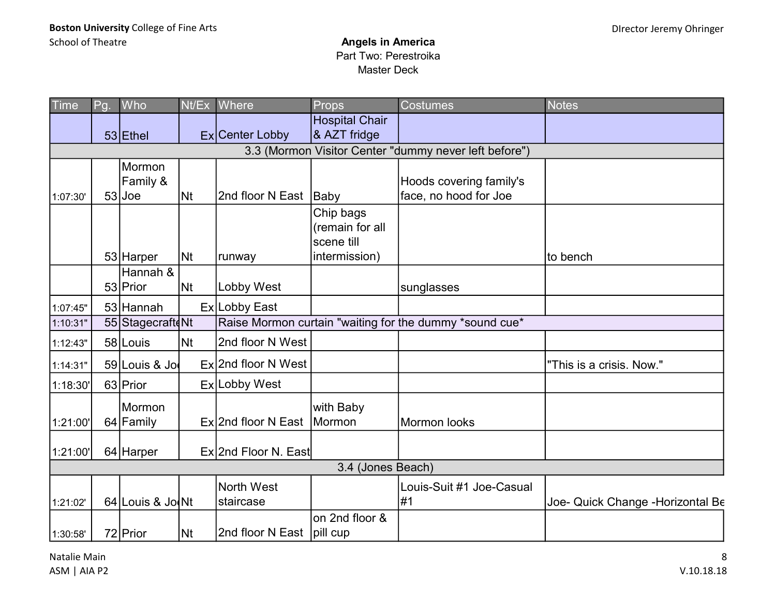| Time     | Pg. | Who              |    | Nt/Ex Where                 | <b>Props</b>          | Costumes                                                | <b>Notes</b>                      |
|----------|-----|------------------|----|-----------------------------|-----------------------|---------------------------------------------------------|-----------------------------------|
|          |     |                  |    |                             | <b>Hospital Chair</b> |                                                         |                                   |
|          |     | $53$ Ethel       |    | Ex Center Lobby             | & AZT fridge          |                                                         |                                   |
|          |     |                  |    |                             |                       | 3.3 (Mormon Visitor Center "dummy never left before")   |                                   |
|          |     | Mormon           |    |                             |                       |                                                         |                                   |
|          |     | Family &         |    |                             |                       | Hoods covering family's                                 |                                   |
| 1:07:30' |     | $53$ Joe         | Nt | 2nd floor N East   Baby     |                       | face, no hood for Joe                                   |                                   |
|          |     |                  |    |                             | Chip bags             |                                                         |                                   |
|          |     |                  |    |                             | (remain for all       |                                                         |                                   |
|          |     |                  |    |                             | scene till            |                                                         |                                   |
|          |     | 53 Harper        | Nt | runway                      | intermission)         |                                                         | to bench                          |
|          |     | Hannah &         |    |                             |                       |                                                         |                                   |
|          |     | 53 Prior         | Nt | Lobby West                  |                       | sunglasses                                              |                                   |
| 1:07:45" |     | 53 Hannah        |    | Ex Lobby East               |                       |                                                         |                                   |
| 1:10:31" |     | 55 Stagecraft    |    |                             |                       | Raise Mormon curtain "waiting for the dummy *sound cue* |                                   |
| 1:12:43" |     | 58 Louis         | Nt | 2nd floor N West            |                       |                                                         |                                   |
| 1:14:31" |     | 59 Louis & Jo    |    | Ex 2nd floor N West         |                       |                                                         | "This is a crisis. Now."          |
| 1:18:30' |     | 63 Prior         |    | Ex Lobby West               |                       |                                                         |                                   |
|          |     | Mormon           |    |                             | with Baby             |                                                         |                                   |
| 1:21:00' |     | 64 Family        |    | Ex 2nd floor N East         | Mormon                | Mormon looks                                            |                                   |
|          |     |                  |    |                             |                       |                                                         |                                   |
| 1:21:00' |     | 64 Harper        |    | Ex 2nd Floor N. East        |                       |                                                         |                                   |
|          |     |                  |    |                             | 3.4 (Jones Beach)     |                                                         |                                   |
|          |     |                  |    | <b>North West</b>           |                       | Louis-Suit #1 Joe-Casual                                |                                   |
| 1:21:02' |     | 64 Louis & Jo Nt |    | staircase                   |                       | #1                                                      | Joe- Quick Change - Horizontal Be |
|          |     |                  |    |                             | on 2nd floor &        |                                                         |                                   |
| 1:30:58' |     | 72 Prior         | Nt | 2nd floor N East   pill cup |                       |                                                         |                                   |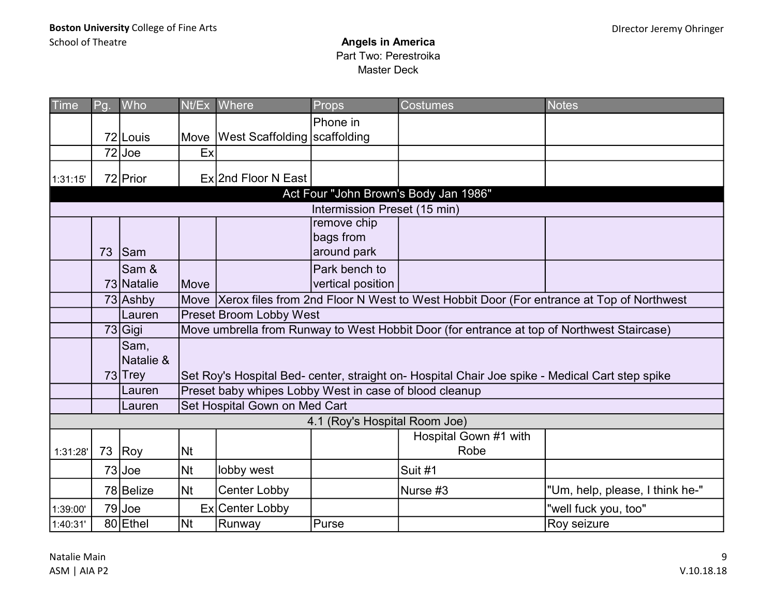| Time     | Pg. | Who        | Nt/Ex     | Where                                                  | Props                         | <b>Costumes</b>                                                                                 | <b>Notes</b>                    |  |  |  |  |
|----------|-----|------------|-----------|--------------------------------------------------------|-------------------------------|-------------------------------------------------------------------------------------------------|---------------------------------|--|--|--|--|
|          |     |            |           |                                                        | Phone in                      |                                                                                                 |                                 |  |  |  |  |
|          |     | 72 Louis   | Move      | <b>West Scaffolding Scaffolding</b>                    |                               |                                                                                                 |                                 |  |  |  |  |
|          |     | $72$ Joe   | Ex        |                                                        |                               |                                                                                                 |                                 |  |  |  |  |
| 1:31:15' |     | 72 Prior   |           | Ex 2nd Floor N East                                    |                               |                                                                                                 |                                 |  |  |  |  |
|          |     |            |           |                                                        |                               | Act Four "John Brown's Body Jan 1986"                                                           |                                 |  |  |  |  |
|          |     |            |           |                                                        | Intermission Preset (15 min)  |                                                                                                 |                                 |  |  |  |  |
|          |     |            |           |                                                        | remove chip                   |                                                                                                 |                                 |  |  |  |  |
|          |     |            |           |                                                        | bags from                     |                                                                                                 |                                 |  |  |  |  |
|          | 73  | <b>Sam</b> |           |                                                        | around park                   |                                                                                                 |                                 |  |  |  |  |
|          |     | Sam &      |           |                                                        | Park bench to                 |                                                                                                 |                                 |  |  |  |  |
|          |     | 73 Natalie | Move      |                                                        | vertical position             |                                                                                                 |                                 |  |  |  |  |
|          |     | 73 Ashby   |           |                                                        |                               | Move Xerox files from 2nd Floor N West to West Hobbit Door (For entrance at Top of Northwest    |                                 |  |  |  |  |
|          |     | Lauren     |           | Preset Broom Lobby West                                |                               |                                                                                                 |                                 |  |  |  |  |
|          |     | 73 Gigi    |           |                                                        |                               | Move umbrella from Runway to West Hobbit Door (for entrance at top of Northwest Staircase)      |                                 |  |  |  |  |
|          |     | Sam,       |           |                                                        |                               |                                                                                                 |                                 |  |  |  |  |
|          |     | Natalie &  |           |                                                        |                               |                                                                                                 |                                 |  |  |  |  |
|          |     | 73 Trey    |           |                                                        |                               | Set Roy's Hospital Bed- center, straight on- Hospital Chair Joe spike - Medical Cart step spike |                                 |  |  |  |  |
|          |     | Lauren     |           | Preset baby whipes Lobby West in case of blood cleanup |                               |                                                                                                 |                                 |  |  |  |  |
|          |     | Lauren     |           | Set Hospital Gown on Med Cart                          |                               |                                                                                                 |                                 |  |  |  |  |
|          |     |            |           |                                                        | 4.1 (Roy's Hospital Room Joe) |                                                                                                 |                                 |  |  |  |  |
|          |     |            |           |                                                        |                               | Hospital Gown #1 with                                                                           |                                 |  |  |  |  |
| 1:31:28' | 73  | Roy        | <b>Nt</b> |                                                        |                               | Robe                                                                                            |                                 |  |  |  |  |
|          |     | $73$ Joe   | <b>Nt</b> | lobby west                                             |                               | Suit #1                                                                                         |                                 |  |  |  |  |
|          |     | 78 Belize  | <b>Nt</b> | <b>Center Lobby</b>                                    |                               | Nurse #3                                                                                        | "Um, help, please, I think he-" |  |  |  |  |
| 1:39:00' |     | $79$ Joe   | Ex        | Center Lobby                                           |                               |                                                                                                 | "well fuck you, too"            |  |  |  |  |
| 1:40:31' |     | 80 Ethel   | <b>Nt</b> | Runway                                                 | Purse                         |                                                                                                 | Roy seizure                     |  |  |  |  |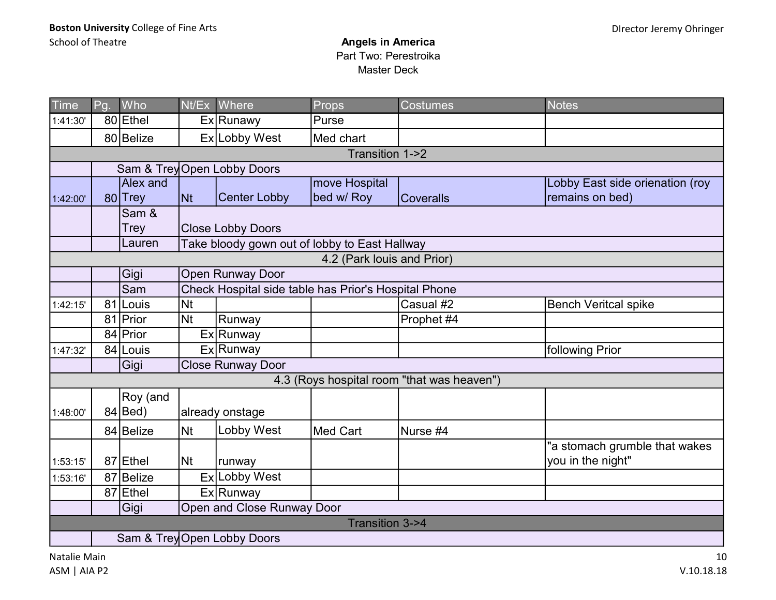| Time     | Pg.                         | Who             |           | Nt/Ex Where                                          | <b>Props</b>               | <b>Costumes</b>                            | <b>Notes</b>                    |  |  |  |  |  |
|----------|-----------------------------|-----------------|-----------|------------------------------------------------------|----------------------------|--------------------------------------------|---------------------------------|--|--|--|--|--|
| 1:41:30' |                             | 80 Ethel        |           | Ex Runawy                                            | Purse                      |                                            |                                 |  |  |  |  |  |
|          |                             | 80 Belize       |           | Ex Lobby West                                        | Med chart                  |                                            |                                 |  |  |  |  |  |
|          |                             |                 |           |                                                      | Transition 1->2            |                                            |                                 |  |  |  |  |  |
|          | Sam & Trey Open Lobby Doors |                 |           |                                                      |                            |                                            |                                 |  |  |  |  |  |
|          |                             | <b>Alex and</b> |           |                                                      | move Hospital              |                                            | Lobby East side orienation (roy |  |  |  |  |  |
| 1:42:00' |                             | 80 Trey         | <b>Nt</b> | <b>Center Lobby</b>                                  | bed w/ Roy                 | <b>Coveralls</b>                           | remains on bed)                 |  |  |  |  |  |
|          |                             | Sam &           |           |                                                      |                            |                                            |                                 |  |  |  |  |  |
|          |                             | <b>Trey</b>     |           | <b>Close Lobby Doors</b>                             |                            |                                            |                                 |  |  |  |  |  |
|          |                             | Lauren          |           | Take bloody gown out of lobby to East Hallway        |                            |                                            |                                 |  |  |  |  |  |
|          |                             |                 |           |                                                      | 4.2 (Park louis and Prior) |                                            |                                 |  |  |  |  |  |
|          |                             | Gigi            |           | Open Runway Door                                     |                            |                                            |                                 |  |  |  |  |  |
|          |                             | Sam             |           | Check Hospital side table has Prior's Hospital Phone |                            |                                            |                                 |  |  |  |  |  |
| 1:42:15' | 81                          | Louis           | <b>Nt</b> |                                                      |                            | Casual #2                                  | <b>Bench Veritcal spike</b>     |  |  |  |  |  |
|          |                             | 81 Prior        | Nt        | Runway                                               |                            | Prophet #4                                 |                                 |  |  |  |  |  |
|          |                             | 84 Prior        |           | Ex Runway                                            |                            |                                            |                                 |  |  |  |  |  |
| 1:47:32' |                             | 84 Louis        |           | Ex Runway                                            |                            |                                            | following Prior                 |  |  |  |  |  |
|          |                             | Gigi            |           | <b>Close Runway Door</b>                             |                            |                                            |                                 |  |  |  |  |  |
|          |                             |                 |           |                                                      |                            | 4.3 (Roys hospital room "that was heaven") |                                 |  |  |  |  |  |
|          |                             | Roy (and        |           |                                                      |                            |                                            |                                 |  |  |  |  |  |
| 1:48:00' |                             | $84 $ Bed)      |           | already onstage                                      |                            |                                            |                                 |  |  |  |  |  |
|          |                             | 84 Belize       | <b>Nt</b> | Lobby West                                           | <b>Med Cart</b>            | Nurse #4                                   |                                 |  |  |  |  |  |
|          |                             |                 |           |                                                      |                            |                                            | "a stomach grumble that wakes   |  |  |  |  |  |
| 1:53:15' |                             | 87 Ethel        | <b>Nt</b> | runway                                               |                            |                                            | you in the night"               |  |  |  |  |  |
| 1:53:16' | 87                          | 'IBelize        |           | Ex Lobby West                                        |                            |                                            |                                 |  |  |  |  |  |
|          |                             | 87 Ethel        |           | Ex Runway                                            |                            |                                            |                                 |  |  |  |  |  |
|          |                             | Gigi            |           | Open and Close Runway Door                           |                            |                                            |                                 |  |  |  |  |  |
|          |                             |                 |           |                                                      | <b>Transition 3-&gt;4</b>  |                                            |                                 |  |  |  |  |  |
|          | Sam & Trey Open Lobby Doors |                 |           |                                                      |                            |                                            |                                 |  |  |  |  |  |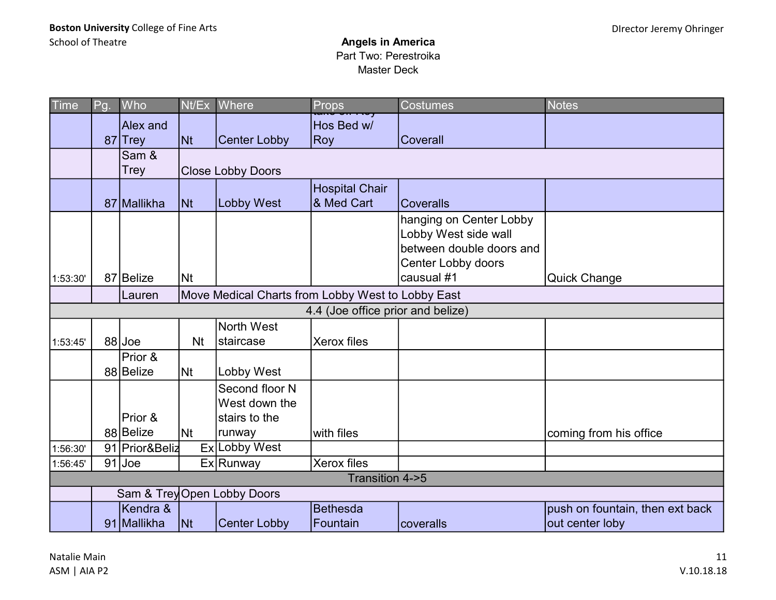| Time     | Pg. | Who                        | Nt/Ex                    | Where                                             | Props                               | <b>Costumes</b>                                                                                                 | <b>Notes</b>                                       |
|----------|-----|----------------------------|--------------------------|---------------------------------------------------|-------------------------------------|-----------------------------------------------------------------------------------------------------------------|----------------------------------------------------|
|          |     | <b>Alex</b> and<br>87 Trey | $\overline{\mathsf{N}t}$ | <b>Center Lobby</b>                               | Hos Bed w/<br>Roy                   | Coverall                                                                                                        |                                                    |
|          |     | Sam &<br><b>Trey</b>       |                          | <b>Close Lobby Doors</b>                          |                                     |                                                                                                                 |                                                    |
|          |     | 87 Mallikha                | <b>Nt</b>                | <b>Lobby West</b>                                 | <b>Hospital Chair</b><br>& Med Cart | <b>Coveralls</b>                                                                                                |                                                    |
| 1:53:30' |     | 87 Belize                  | <b>Nt</b>                |                                                   |                                     | hanging on Center Lobby<br>Lobby West side wall<br>between double doors and<br>Center Lobby doors<br>causual #1 | <b>Quick Change</b>                                |
|          |     | Lauren                     |                          | Move Medical Charts from Lobby West to Lobby East |                                     |                                                                                                                 |                                                    |
|          |     |                            |                          |                                                   | 4.4 (Joe office prior and belize)   |                                                                                                                 |                                                    |
|          |     |                            |                          | <b>North West</b>                                 |                                     |                                                                                                                 |                                                    |
| 1:53:45' |     | 88 Joe                     | <b>Nt</b>                | staircase                                         | Xerox files                         |                                                                                                                 |                                                    |
|          |     | Prior &<br>88 Belize       | <b>Nt</b>                | Lobby West                                        |                                     |                                                                                                                 |                                                    |
|          |     | Prior &                    |                          | Second floor N<br>West down the<br>stairs to the  |                                     |                                                                                                                 |                                                    |
|          |     | 88 Belize                  | Nt                       | runway                                            | with files                          |                                                                                                                 | coming from his office                             |
| 1:56:30' |     | 91 Prior&Beliz             |                          | Ex Lobby West                                     |                                     |                                                                                                                 |                                                    |
| 1:56:45' |     | $91$ Joe                   |                          | Ex Runway                                         | Xerox files                         |                                                                                                                 |                                                    |
|          |     |                            |                          |                                                   | Transition 4->5                     |                                                                                                                 |                                                    |
|          |     |                            |                          | Sam & Trey Open Lobby Doors                       |                                     |                                                                                                                 |                                                    |
|          |     | Kendra &<br>91 Mallikha    | $\vert$ Nt               | <b>Center Lobby</b>                               | <b>Bethesda</b><br><b>Fountain</b>  | coveralls                                                                                                       | push on fountain, then ext back<br>out center loby |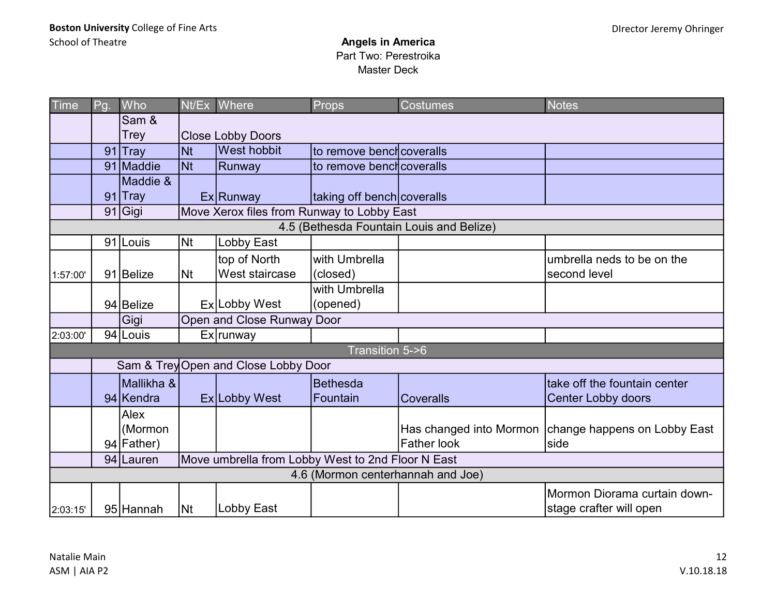| <b>Time</b> | Pg. | Who                  |           | Nt/Ex Where                                       | Props                      | <b>Costumes</b>                          | <b>Notes</b>                                           |
|-------------|-----|----------------------|-----------|---------------------------------------------------|----------------------------|------------------------------------------|--------------------------------------------------------|
|             |     | Sam &<br><b>Trey</b> |           | <b>Close Lobby Doors</b>                          |                            |                                          |                                                        |
|             | 91  | ∣Tray                | <b>Nt</b> | <b>West hobbit</b>                                | to remove benchcoveralls   |                                          |                                                        |
|             |     | 91 Maddie            | <b>Nt</b> | Runway                                            | to remove benchcoveralls   |                                          |                                                        |
|             |     | Maddie &             |           |                                                   |                            |                                          |                                                        |
|             |     | 91 Tray              |           | Ex Runway                                         | taking off bench coveralls |                                          |                                                        |
|             |     | 91 Gigi              |           | Move Xerox files from Runway to Lobby East        |                            |                                          |                                                        |
|             |     |                      |           |                                                   |                            | 4.5 (Bethesda Fountain Louis and Belize) |                                                        |
|             |     | 91 Louis             | <b>Nt</b> | Lobby East                                        |                            |                                          |                                                        |
|             |     |                      |           | top of North                                      | with Umbrella              |                                          | umbrella neds to be on the                             |
| 1:57:00'    |     | 91 Belize            | <b>Nt</b> | <b>West staircase</b>                             | (closed)                   |                                          | second level                                           |
|             |     |                      |           |                                                   | with Umbrella              |                                          |                                                        |
|             |     | 94 Belize            |           | Ex Lobby West                                     | (opened)                   |                                          |                                                        |
|             |     | Gigi                 |           | Open and Close Runway Door                        |                            |                                          |                                                        |
| 2:03:00'    |     | 94 Louis             |           | Ex runway                                         |                            |                                          |                                                        |
|             |     |                      |           |                                                   | Transition 5->6            |                                          |                                                        |
|             |     |                      |           | Sam & Trey Open and Close Lobby Door              |                            |                                          |                                                        |
|             |     | Mallikha &           |           |                                                   | Bethesda                   |                                          | take off the fountain center                           |
|             |     | 94 Kendra            |           | Ex Lobby West                                     | Fountain                   | <b>Coveralls</b>                         | <b>Center Lobby doors</b>                              |
|             |     | Alex                 |           |                                                   |                            |                                          |                                                        |
|             |     | (Mormon              |           |                                                   |                            |                                          | Has changed into Mormon   change happens on Lobby East |
|             |     | 94 Father)           |           |                                                   |                            | <b>Father look</b>                       | side                                                   |
|             |     | 94 Lauren            |           | Move umbrella from Lobby West to 2nd Floor N East |                            |                                          |                                                        |
|             |     |                      |           |                                                   |                            | 4.6 (Mormon centerhannah and Joe)        |                                                        |
|             |     |                      |           |                                                   |                            |                                          | Mormon Diorama curtain down-                           |
| 2:03:15'    |     | 95 Hannah            | Nt        | Lobby East                                        |                            |                                          | stage crafter will open                                |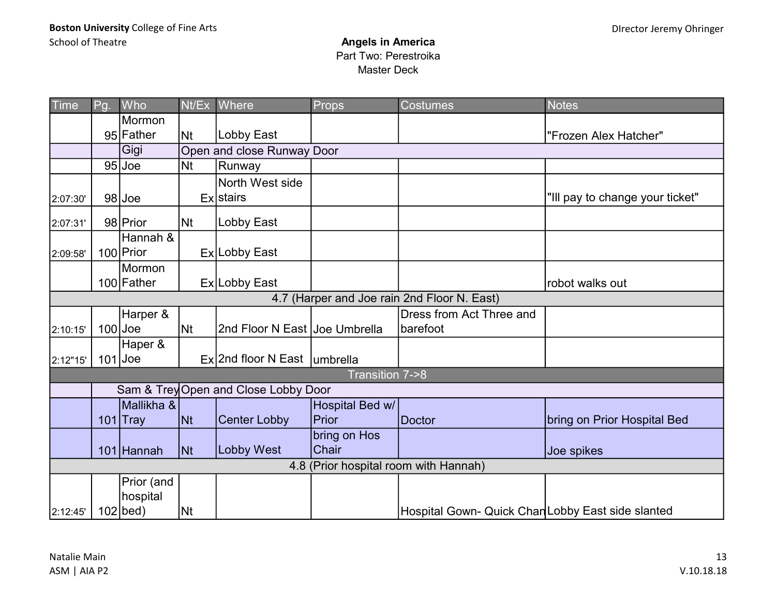| <b>Time</b> | Pg.       | Who           |                | Nt/Ex Where                          | Props           | <b>Costumes</b>                                   | <b>Notes</b>                    |
|-------------|-----------|---------------|----------------|--------------------------------------|-----------------|---------------------------------------------------|---------------------------------|
|             |           | <b>Mormon</b> |                |                                      |                 |                                                   |                                 |
|             |           | 95 Father     | N <sub>t</sub> | Lobby East                           |                 |                                                   | "Frozen Alex Hatcher"           |
|             |           | Gigi          |                | Open and close Runway Door           |                 |                                                   |                                 |
|             |           | $95$ Joe      | Nt             | Runway                               |                 |                                                   |                                 |
|             |           |               |                | North West side                      |                 |                                                   |                                 |
| 2:07:30'    |           | $98$ Joe      |                | <b>Ex</b> stairs                     |                 |                                                   | "Ill pay to change your ticket" |
| 2:07:31'    |           | 98 Prior      | <b>Nt</b>      | Lobby East                           |                 |                                                   |                                 |
|             |           | Hannah &      |                |                                      |                 |                                                   |                                 |
| 2:09:58'    |           | 100 Prior     |                | Ex Lobby East                        |                 |                                                   |                                 |
|             |           | Mormon        |                |                                      |                 |                                                   |                                 |
|             |           | 100 Father    |                | Ex Lobby East                        |                 |                                                   | robot walks out                 |
|             |           |               |                |                                      |                 | 4.7 (Harper and Joe rain 2nd Floor N. East)       |                                 |
|             |           | Harper &      |                |                                      |                 | Dress from Act Three and                          |                                 |
| 2:10:15'    | $100$ Joe |               | N <sub>t</sub> | 2nd Floor N East Joe Umbrella        |                 | barefoot                                          |                                 |
|             |           | Haper &       |                |                                      |                 |                                                   |                                 |
| 2:12"15"    |           | $101$ Joe     |                | $Ex$ 2nd floor N East umbrella       |                 |                                                   |                                 |
|             |           |               |                |                                      | Transition 7->8 |                                                   |                                 |
|             |           |               |                | Sam & Trey Open and Close Lobby Door |                 |                                                   |                                 |
|             |           | Mallikha &    |                |                                      | Hospital Bed w/ |                                                   |                                 |
|             |           | $101$ Tray    | <b>Nt</b>      | <b>Center Lobby</b>                  | Prior           | Doctor                                            | bring on Prior Hospital Bed     |
|             |           |               |                |                                      | bring on Hos    |                                                   |                                 |
|             |           | 101 Hannah    | <b>Nt</b>      | <b>Lobby West</b>                    | <b>Chair</b>    |                                                   | Joe spikes                      |
|             |           |               |                |                                      |                 | 4.8 (Prior hospital room with Hannah)             |                                 |
|             |           | Prior (and    |                |                                      |                 |                                                   |                                 |
|             |           | hospital      |                |                                      |                 |                                                   |                                 |
| 2:12:45'    |           | $102$   bed)  | <b>INt</b>     |                                      |                 | Hospital Gown- Quick Chan Lobby East side slanted |                                 |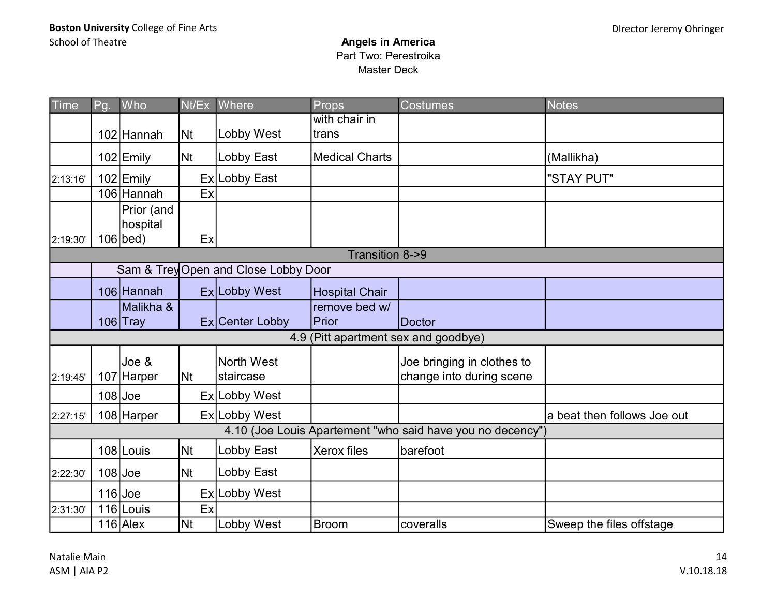| Time            | Pg.                                  | Who                    | Nt/Ex     | Where             | Props                 | <b>Costumes</b>                                            | <b>Notes</b>                |  |  |  |  |
|-----------------|--------------------------------------|------------------------|-----------|-------------------|-----------------------|------------------------------------------------------------|-----------------------------|--|--|--|--|
|                 |                                      |                        |           |                   | with chair in         |                                                            |                             |  |  |  |  |
|                 |                                      | 102 Hannah             | <b>Nt</b> | Lobby West        | trans                 |                                                            |                             |  |  |  |  |
|                 |                                      | 102 Emily              | <b>Nt</b> | Lobby East        | <b>Medical Charts</b> |                                                            | (Mallikha)                  |  |  |  |  |
| 2:13:16'        |                                      | 102 Emily              |           | Ex Lobby East     |                       |                                                            | "STAY PUT"                  |  |  |  |  |
|                 |                                      | 106 Hannah             | Ex        |                   |                       |                                                            |                             |  |  |  |  |
|                 |                                      | Prior (and<br>hospital |           |                   |                       |                                                            |                             |  |  |  |  |
| 2:19:30'        |                                      | $106$   bed)           | Ex        |                   |                       |                                                            |                             |  |  |  |  |
| Transition 8->9 |                                      |                        |           |                   |                       |                                                            |                             |  |  |  |  |
|                 | Sam & Trey Open and Close Lobby Door |                        |           |                   |                       |                                                            |                             |  |  |  |  |
|                 |                                      | 106 Hannah             |           | Ex Lobby West     | <b>Hospital Chair</b> |                                                            |                             |  |  |  |  |
|                 |                                      | Malikha &              |           |                   | remove bed w/         |                                                            |                             |  |  |  |  |
|                 |                                      | $106$ Tray             |           | Ex Center Lobby   | Prior                 | Doctor                                                     |                             |  |  |  |  |
|                 |                                      |                        |           |                   |                       | 4.9 (Pitt apartment sex and goodbye)                       |                             |  |  |  |  |
|                 |                                      | Joe &                  |           | <b>North West</b> |                       | Joe bringing in clothes to                                 |                             |  |  |  |  |
| 2:19:45         | 107                                  | ' Harper               | <b>Nt</b> | staircase         |                       | change into during scene                                   |                             |  |  |  |  |
|                 |                                      | $108$ Joe              |           | Ex Lobby West     |                       |                                                            |                             |  |  |  |  |
| 2:27:15'        |                                      | 108 Harper             |           | Ex Lobby West     |                       |                                                            | a beat then follows Joe out |  |  |  |  |
|                 |                                      |                        |           |                   |                       | 4.10 (Joe Louis Apartement "who said have you no decency") |                             |  |  |  |  |
|                 |                                      | 108 Louis              | <b>Nt</b> | Lobby East        | Xerox files           | barefoot                                                   |                             |  |  |  |  |
| 2:22:30         |                                      | $108$ Joe              | <b>Nt</b> | Lobby East        |                       |                                                            |                             |  |  |  |  |
|                 |                                      | $116$ Joe              |           | Ex Lobby West     |                       |                                                            |                             |  |  |  |  |
| 2:31:30'        |                                      | $116$ Louis            | Ex        |                   |                       |                                                            |                             |  |  |  |  |
|                 |                                      | $116$ Alex             | <b>Nt</b> | Lobby West        | <b>Broom</b>          | coveralls                                                  | Sweep the files offstage    |  |  |  |  |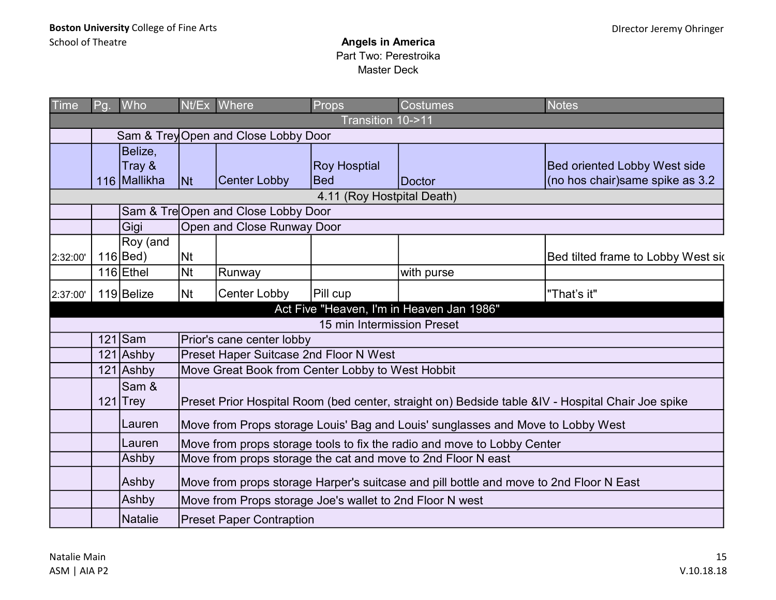| <b>Time</b> | Pg.                                  | Who                               |           | Nt/Ex Where                                              | Props                             | Costumes                                                                                          | <b>Notes</b>                                                            |  |  |  |  |
|-------------|--------------------------------------|-----------------------------------|-----------|----------------------------------------------------------|-----------------------------------|---------------------------------------------------------------------------------------------------|-------------------------------------------------------------------------|--|--|--|--|
|             | Transition 10->11                    |                                   |           |                                                          |                                   |                                                                                                   |                                                                         |  |  |  |  |
|             | Sam & Trey Open and Close Lobby Door |                                   |           |                                                          |                                   |                                                                                                   |                                                                         |  |  |  |  |
|             |                                      | Belize,<br>Tray &<br>116 Mallikha | <b>Nt</b> | <b>Center Lobby</b>                                      | <b>Roy Hosptial</b><br><b>Bed</b> | Doctor                                                                                            | <b>Bed oriented Lobby West side</b><br>(no hos chair) same spike as 3.2 |  |  |  |  |
|             |                                      |                                   |           |                                                          | 4.11 (Roy Hostpital Death)        |                                                                                                   |                                                                         |  |  |  |  |
|             |                                      |                                   |           | Sam & Tre Open and Close Lobby Door                      |                                   |                                                                                                   |                                                                         |  |  |  |  |
|             |                                      | Gigi                              |           | Open and Close Runway Door                               |                                   |                                                                                                   |                                                                         |  |  |  |  |
| 2:32:00'    |                                      | Roy (and<br>116 Bed)              | Nt        |                                                          |                                   |                                                                                                   | Bed tilted frame to Lobby West sid                                      |  |  |  |  |
|             |                                      | $116$ Ethel                       | <b>Nt</b> | Runway                                                   |                                   | with purse                                                                                        |                                                                         |  |  |  |  |
| 2:37:00'    |                                      | $119$ Belize                      | <b>Nt</b> | <b>Center Lobby</b>                                      | Pill cup                          |                                                                                                   | "That's it"                                                             |  |  |  |  |
|             |                                      |                                   |           |                                                          |                                   | Act Five "Heaven, I'm in Heaven Jan 1986"                                                         |                                                                         |  |  |  |  |
|             |                                      |                                   |           |                                                          | 15 min Intermission Preset        |                                                                                                   |                                                                         |  |  |  |  |
|             |                                      | $121$ Sam                         |           | Prior's cane center lobby                                |                                   |                                                                                                   |                                                                         |  |  |  |  |
|             |                                      | 121 Ashby                         |           | Preset Haper Suitcase 2nd Floor N West                   |                                   |                                                                                                   |                                                                         |  |  |  |  |
|             |                                      | $121$ Ashby                       |           | Move Great Book from Center Lobby to West Hobbit         |                                   |                                                                                                   |                                                                         |  |  |  |  |
|             |                                      | Sam &<br>$121$ Trey               |           |                                                          |                                   | Preset Prior Hospital Room (bed center, straight on) Bedside table &IV - Hospital Chair Joe spike |                                                                         |  |  |  |  |
|             |                                      | Lauren                            |           |                                                          |                                   | Move from Props storage Louis' Bag and Louis' sunglasses and Move to Lobby West                   |                                                                         |  |  |  |  |
|             |                                      | Lauren                            |           |                                                          |                                   | Move from props storage tools to fix the radio and move to Lobby Center                           |                                                                         |  |  |  |  |
|             |                                      | Ashby                             |           |                                                          |                                   | Move from props storage the cat and move to 2nd Floor N east                                      |                                                                         |  |  |  |  |
|             |                                      | Ashby                             |           |                                                          |                                   | Move from props storage Harper's suitcase and pill bottle and move to 2nd Floor N East            |                                                                         |  |  |  |  |
|             |                                      | Ashby                             |           | Move from Props storage Joe's wallet to 2nd Floor N west |                                   |                                                                                                   |                                                                         |  |  |  |  |
|             |                                      | <b>Natalie</b>                    |           | <b>Preset Paper Contraption</b>                          |                                   |                                                                                                   |                                                                         |  |  |  |  |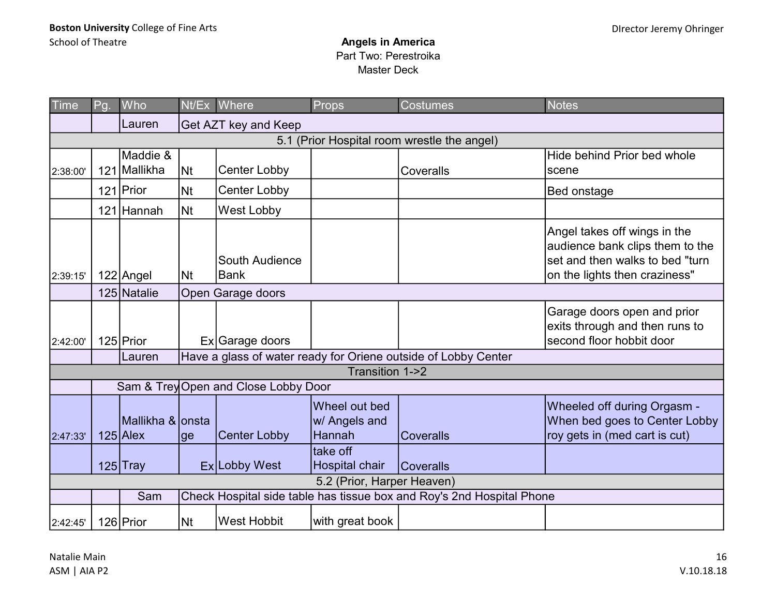| <b>Time</b> | Pg.                                         | Who                                      |                | Nt/Ex Where                          | Props                                           | <b>Costumes</b>                                                       | <b>Notes</b>                                                                                                                        |  |  |  |
|-------------|---------------------------------------------|------------------------------------------|----------------|--------------------------------------|-------------------------------------------------|-----------------------------------------------------------------------|-------------------------------------------------------------------------------------------------------------------------------------|--|--|--|
|             |                                             | Lauren                                   |                | Get AZT key and Keep                 |                                                 |                                                                       |                                                                                                                                     |  |  |  |
|             | 5.1 (Prior Hospital room wrestle the angel) |                                          |                |                                      |                                                 |                                                                       |                                                                                                                                     |  |  |  |
|             |                                             | Maddie &                                 |                |                                      |                                                 |                                                                       | Hide behind Prior bed whole                                                                                                         |  |  |  |
| 2:38:00'    | 121                                         | Mallikha                                 | N <sub>t</sub> | <b>Center Lobby</b>                  |                                                 | Coveralls                                                             | scene                                                                                                                               |  |  |  |
|             |                                             | 121 Prior                                | <b>Nt</b>      | <b>Center Lobby</b>                  |                                                 |                                                                       | Bed onstage                                                                                                                         |  |  |  |
|             |                                             | 121 Hannah                               | <b>Nt</b>      | <b>West Lobby</b>                    |                                                 |                                                                       |                                                                                                                                     |  |  |  |
| 2:39:15'    |                                             | 122 Angel                                | N <sub>t</sub> | South Audience<br>Bank               |                                                 |                                                                       | Angel takes off wings in the<br>audience bank clips them to the<br>set and then walks to bed "turn<br>on the lights then craziness" |  |  |  |
|             |                                             | 125 Natalie                              |                | Open Garage doors                    |                                                 |                                                                       |                                                                                                                                     |  |  |  |
| 2:42:00'    |                                             | 125 Prior                                |                | Ex Garage doors                      |                                                 |                                                                       | Garage doors open and prior<br>exits through and then runs to<br>second floor hobbit door                                           |  |  |  |
|             |                                             | Lauren                                   |                |                                      |                                                 | Have a glass of water ready for Oriene outside of Lobby Center        |                                                                                                                                     |  |  |  |
|             |                                             |                                          |                |                                      | Transition 1->2                                 |                                                                       |                                                                                                                                     |  |  |  |
|             |                                             |                                          |                | Sam & Trey Open and Close Lobby Door |                                                 |                                                                       |                                                                                                                                     |  |  |  |
| 2:47:33'    |                                             | ∣Mallikha & <i>∖</i> onsta<br>$125$ Alex | ge             | <b>Center Lobby</b>                  | Wheel out bed<br>w/ Angels and<br><b>Hannah</b> | <b>Coveralls</b>                                                      | Wheeled off during Orgasm -<br>When bed goes to Center Lobby<br>roy gets in (med cart is cut)                                       |  |  |  |
|             |                                             | $125$ Tray                               |                | Ex Lobby West                        | take off<br><b>Hospital chair</b>               | <b>Coveralls</b>                                                      |                                                                                                                                     |  |  |  |
|             |                                             |                                          |                |                                      | 5.2 (Prior, Harper Heaven)                      |                                                                       |                                                                                                                                     |  |  |  |
|             |                                             | Sam                                      |                |                                      |                                                 | Check Hospital side table has tissue box and Roy's 2nd Hospital Phone |                                                                                                                                     |  |  |  |
| 2:42:45'    |                                             | 126 Prior                                | <b>Nt</b>      | <b>West Hobbit</b>                   | with great book                                 |                                                                       |                                                                                                                                     |  |  |  |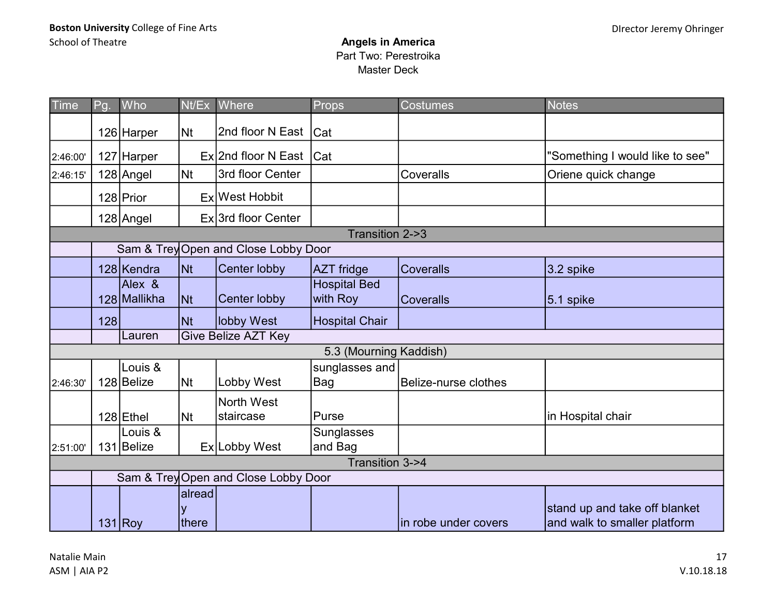| <b>Time</b> | Pg.             | Who                    | Nt/Ex           | Where                                | Props                           | <b>Costumes</b>      | <b>Notes</b>                                                  |  |  |  |  |
|-------------|-----------------|------------------------|-----------------|--------------------------------------|---------------------------------|----------------------|---------------------------------------------------------------|--|--|--|--|
|             |                 | 126 Harper             | N <sub>t</sub>  | 2nd floor N East   Cat               |                                 |                      |                                                               |  |  |  |  |
| 2:46:00'    |                 | 127 Harper             |                 | $Ex$ 2nd floor N East $Cat$          |                                 |                      | "Something I would like to see"                               |  |  |  |  |
| 2:46:15'    |                 | $128$ Angel            | N <sub>t</sub>  | 3rd floor Center                     |                                 | Coveralls            | Oriene quick change                                           |  |  |  |  |
|             |                 | 128 Prior              |                 | Ex West Hobbit                       |                                 |                      |                                                               |  |  |  |  |
|             |                 | 128 Angel              |                 | Ex 3rd floor Center                  |                                 |                      |                                                               |  |  |  |  |
|             |                 |                        |                 |                                      | Transition 2->3                 |                      |                                                               |  |  |  |  |
|             |                 |                        |                 | Sam & Trey Open and Close Lobby Door |                                 |                      |                                                               |  |  |  |  |
|             |                 | 128 Kendra             | <b>Nt</b>       | Center lobby                         | AZT fridge                      | <b>Coveralls</b>     | 3.2 spike                                                     |  |  |  |  |
|             |                 | Alex &<br>128 Mallikha | <b>Nt</b>       | <b>Center lobby</b>                  | <b>Hospital Bed</b><br>with Roy | <b>Coveralls</b>     | $5.1$ spike                                                   |  |  |  |  |
|             | 128             |                        | <b>Nt</b>       | lobby West                           | Hospital Chair                  |                      |                                                               |  |  |  |  |
|             |                 | Lauren                 |                 | <b>Give Belize AZT Key</b>           |                                 |                      |                                                               |  |  |  |  |
|             |                 |                        |                 |                                      | 5.3 (Mourning Kaddish)          |                      |                                                               |  |  |  |  |
| 2:46:30'    |                 | Louis &<br>128 Belize  | <b>Nt</b>       | Lobby West                           | sunglasses and<br>Bag           | Belize-nurse clothes |                                                               |  |  |  |  |
|             |                 | 128 Ethel              | <b>Nt</b>       | North West<br>staircase              | Purse                           |                      | in Hospital chair                                             |  |  |  |  |
| 2:51:00'    |                 | Louis &<br>131 Belize  |                 | Ex Lobby West                        | Sunglasses<br>and Bag           |                      |                                                               |  |  |  |  |
|             | Transition 3->4 |                        |                 |                                      |                                 |                      |                                                               |  |  |  |  |
|             |                 |                        |                 | Sam & Trey Open and Close Lobby Door |                                 |                      |                                                               |  |  |  |  |
|             |                 | $131$ Roy              | alread<br>there |                                      |                                 | in robe under covers | stand up and take off blanket<br>and walk to smaller platform |  |  |  |  |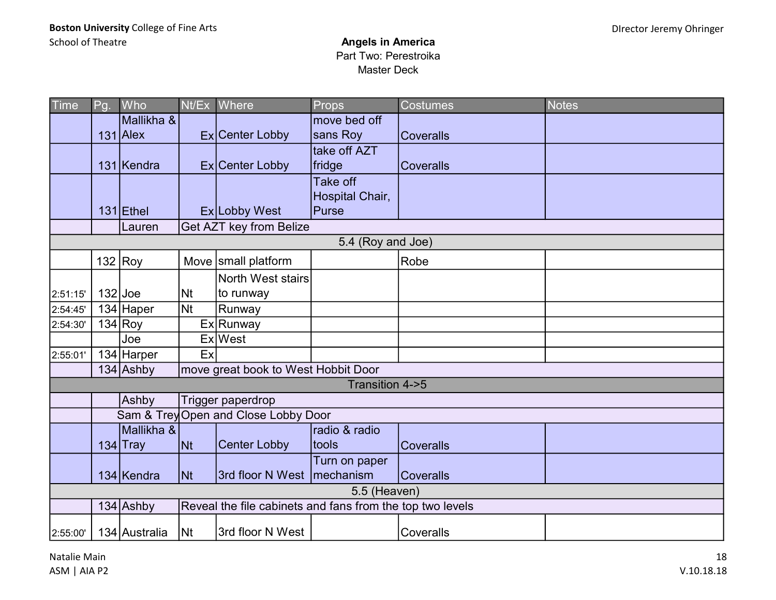| Time     | Pg.               | Who           |                          | Nt/Ex Where                                               | Props           | <b>Costumes</b>  | <b>Notes</b> |  |  |  |  |
|----------|-------------------|---------------|--------------------------|-----------------------------------------------------------|-----------------|------------------|--------------|--|--|--|--|
|          |                   | Mallikha &    |                          |                                                           | move bed off    |                  |              |  |  |  |  |
|          |                   | $131$ Alex    |                          | Ex Center Lobby                                           | sans Roy        | <b>Coveralls</b> |              |  |  |  |  |
|          |                   |               |                          |                                                           | take off AZT    |                  |              |  |  |  |  |
|          |                   | 131 Kendra    |                          | Ex Center Lobby                                           | fridge          | <b>Coveralls</b> |              |  |  |  |  |
|          |                   |               |                          |                                                           | Take off        |                  |              |  |  |  |  |
|          |                   |               |                          |                                                           | Hospital Chair, |                  |              |  |  |  |  |
|          |                   | $131$ Ethel   |                          | Ex Lobby West                                             | Purse           |                  |              |  |  |  |  |
|          |                   | Lauren        |                          | Get AZT key from Belize                                   |                 |                  |              |  |  |  |  |
|          | 5.4 (Roy and Joe) |               |                          |                                                           |                 |                  |              |  |  |  |  |
|          |                   | 132 $Rov$     |                          | Move small platform                                       |                 | Robe             |              |  |  |  |  |
|          |                   |               |                          | North West stairs                                         |                 |                  |              |  |  |  |  |
| 2:51:15' | $132$ Joe         |               | <b>Nt</b>                | to runway                                                 |                 |                  |              |  |  |  |  |
| 2:54:45' |                   | 134 Haper     | <b>Nt</b>                | Runway                                                    |                 |                  |              |  |  |  |  |
| 2:54:30' |                   | 134 Rov       |                          | Ex Runway                                                 |                 |                  |              |  |  |  |  |
|          |                   | Joe           |                          | Ex West                                                   |                 |                  |              |  |  |  |  |
| 2:55:01' |                   | 134 Harper    | Ex                       |                                                           |                 |                  |              |  |  |  |  |
|          |                   | $134$ Ashby   |                          | move great book to West Hobbit Door                       |                 |                  |              |  |  |  |  |
|          |                   |               |                          |                                                           | Transition 4->5 |                  |              |  |  |  |  |
|          |                   | Ashby         |                          | Trigger paperdrop                                         |                 |                  |              |  |  |  |  |
|          |                   |               |                          | Sam & Trey Open and Close Lobby Door                      |                 |                  |              |  |  |  |  |
|          |                   | Mallikha &    |                          |                                                           | radio & radio   |                  |              |  |  |  |  |
|          |                   | $134$ Tray    | <b>Nt</b>                | <b>Center Lobby</b>                                       | Itools          | <b>Coveralls</b> |              |  |  |  |  |
|          |                   |               |                          |                                                           | Turn on paper   |                  |              |  |  |  |  |
|          |                   | 134 Kendra    | $\overline{\mathsf{N}t}$ | 3rd floor N West   mechanism                              |                 | <b>Coveralls</b> |              |  |  |  |  |
|          | 5.5 (Heaven)      |               |                          |                                                           |                 |                  |              |  |  |  |  |
|          |                   | $134$ Ashby   |                          | Reveal the file cabinets and fans from the top two levels |                 |                  |              |  |  |  |  |
| 2:55:00  |                   | 134 Australia | Nt                       | 3rd floor N West                                          |                 | Coveralls        |              |  |  |  |  |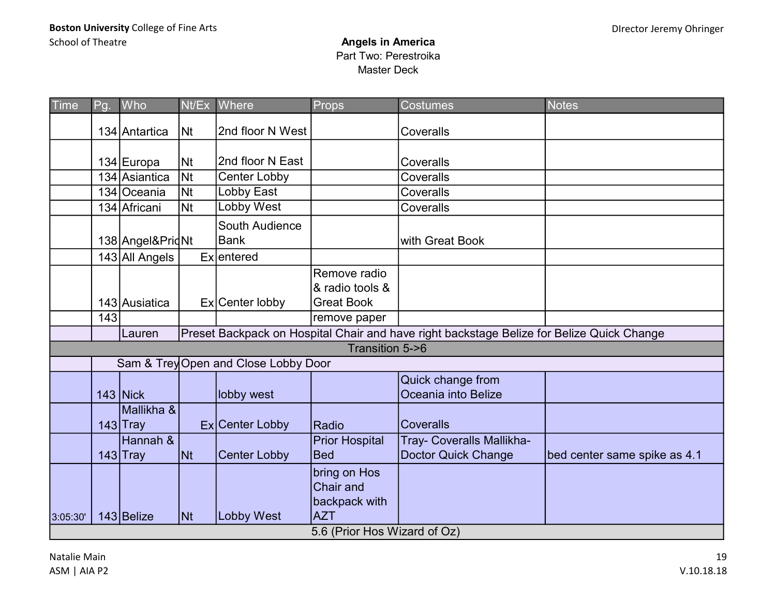| Time     | Pg. | Who                      | Nt/Ex     | Where                                | Props                                                                                           | <b>Costumes</b>                                                                           | <b>Notes</b>                 |
|----------|-----|--------------------------|-----------|--------------------------------------|-------------------------------------------------------------------------------------------------|-------------------------------------------------------------------------------------------|------------------------------|
|          |     | 134 Antartica            | Nt        | 2nd floor N West                     |                                                                                                 | Coveralls                                                                                 |                              |
|          |     | 134 Europa               | Nt        | 2nd floor N East                     |                                                                                                 | Coveralls                                                                                 |                              |
|          |     | 134 Asiantica            | <b>Nt</b> | <b>Center Lobby</b>                  |                                                                                                 | Coveralls                                                                                 |                              |
|          |     | 134 Oceania              | <b>Nt</b> | Lobby East                           |                                                                                                 | Coveralls                                                                                 |                              |
|          |     | 134 Africani             | <b>Nt</b> | <b>Lobby West</b>                    |                                                                                                 | Coveralls                                                                                 |                              |
|          |     | 138 Angel& Prid Nt       |           | South Audience<br><b>Bank</b>        |                                                                                                 | with Great Book                                                                           |                              |
|          |     | 143 All Angels           |           | Exlentered                           |                                                                                                 |                                                                                           |                              |
|          |     | 143 Ausiatica            |           | Ex Center lobby                      | Remove radio<br>& radio tools &<br><b>Great Book</b>                                            |                                                                                           |                              |
|          | 143 |                          |           |                                      | remove paper                                                                                    |                                                                                           |                              |
|          |     | Lauren                   |           |                                      |                                                                                                 | Preset Backpack on Hospital Chair and have right backstage Belize for Belize Quick Change |                              |
|          |     |                          |           |                                      | Transition 5->6                                                                                 |                                                                                           |                              |
|          |     |                          |           | Sam & Trey Open and Close Lobby Door |                                                                                                 |                                                                                           |                              |
|          |     | $143$ Nick               |           | lobby west                           |                                                                                                 | Quick change from<br>Oceania into Belize                                                  |                              |
|          |     | Mallikha &<br>$143$ Tray |           | Ex Center Lobby                      | Radio                                                                                           | <b>Coveralls</b>                                                                          |                              |
|          |     | Hannah &<br>$143$ Tray   | Nt        | <b>Center Lobby</b>                  | <b>Prior Hospital</b><br><b>Bed</b>                                                             | Tray- Coveralls Mallikha-<br><b>Doctor Quick Change</b>                                   | bed center same spike as 4.1 |
| 3:05:30' |     | 143 Belize               | <b>Nt</b> | <b>Lobby West</b>                    | bring on Hos<br><b>Chair and</b><br>backpack with<br><b>AZT</b><br>5.6 (Prior Hos Wizard of Oz) |                                                                                           |                              |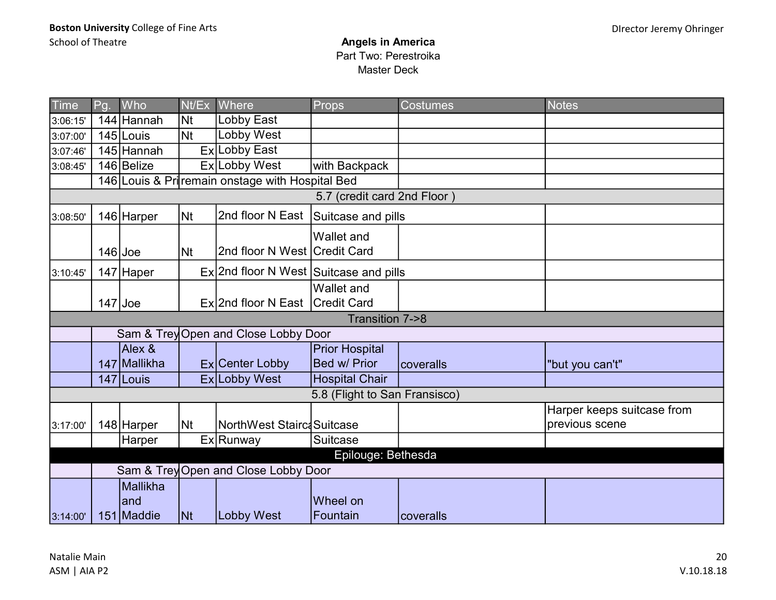| Time     | Pg.                                                        | Who               | Nt/Ex     | Where                                            | Props                         | <b>Costumes</b> | <b>Notes</b>                                 |  |  |  |  |
|----------|------------------------------------------------------------|-------------------|-----------|--------------------------------------------------|-------------------------------|-----------------|----------------------------------------------|--|--|--|--|
| 3:06:15' |                                                            | 144 Hannah        | <b>Nt</b> | Lobby East                                       |                               |                 |                                              |  |  |  |  |
| 3:07:00' |                                                            | 145 Louis         | <b>Nt</b> | <b>Lobby West</b>                                |                               |                 |                                              |  |  |  |  |
| 3:07:46' |                                                            | 145 Hannah        |           | Ex Lobby East                                    |                               |                 |                                              |  |  |  |  |
| 3:08:45' |                                                            | 146 Belize        |           | Ex Lobby West                                    | with Backpack                 |                 |                                              |  |  |  |  |
|          |                                                            |                   |           | 146 Louis & Pri remain onstage with Hospital Bed |                               |                 |                                              |  |  |  |  |
|          |                                                            |                   |           |                                                  | 5.7 (credit card 2nd Floor)   |                 |                                              |  |  |  |  |
| 3:08:50' |                                                            | 146 Harper        | <b>Nt</b> | 2nd floor N East                                 | Suitcase and pills            |                 |                                              |  |  |  |  |
|          | $146$ Joe                                                  |                   | Nt        | 2nd floor N West Credit Card                     | <b>Wallet and</b>             |                 |                                              |  |  |  |  |
| 3:10:45' |                                                            | 147 Haper         |           | Ex 2nd floor N West Suitcase and pills           |                               |                 |                                              |  |  |  |  |
|          | $147$ Joe                                                  |                   |           | Ex 2nd floor N East Credit Card                  | <b>Wallet and</b>             |                 |                                              |  |  |  |  |
|          |                                                            |                   |           |                                                  | Transition 7->8               |                 |                                              |  |  |  |  |
|          |                                                            |                   |           | Sam & Trey Open and Close Lobby Door             |                               |                 |                                              |  |  |  |  |
|          |                                                            | Alex &            |           |                                                  | <b>Prior Hospital</b>         |                 |                                              |  |  |  |  |
|          |                                                            | 147 Mallikha      |           | Ex Center Lobby                                  | Bed w/ Prior                  | coveralls       | "but you can't"                              |  |  |  |  |
|          |                                                            | 147 Louis         |           | Ex Lobby West                                    | <b>Hospital Chair</b>         |                 |                                              |  |  |  |  |
|          |                                                            |                   |           |                                                  | 5.8 (Flight to San Fransisco) |                 |                                              |  |  |  |  |
| 3:17:00' |                                                            | 148 Harper        | Nt        | NorthWest Stairc Suitcase                        |                               |                 | Harper keeps suitcase from<br>previous scene |  |  |  |  |
|          |                                                            | Harper            |           | Ex Runway                                        | Suitcase                      |                 |                                              |  |  |  |  |
|          |                                                            |                   |           |                                                  |                               |                 |                                              |  |  |  |  |
|          | Epilouge: Bethesda<br>Sam & Trey Open and Close Lobby Door |                   |           |                                                  |                               |                 |                                              |  |  |  |  |
|          |                                                            | <b>Mallikha</b>   |           |                                                  |                               |                 |                                              |  |  |  |  |
| 3:14:00' |                                                            | and<br>151 Maddie | <b>Nt</b> | Lobby West                                       | Wheel on<br>Fountain          | coveralls       |                                              |  |  |  |  |